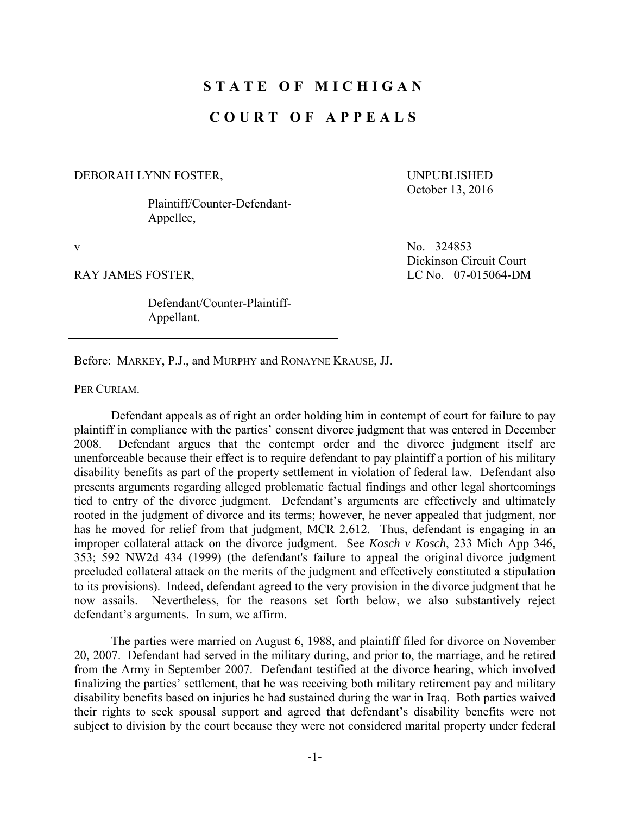## **STATE OF MICHIGAN**

## **COURT OF APPEALS**

## DEBORAH LYNN FOSTER,

 Plaintiff/Counter-Defendant-Appellee,

UNPUBLISHED October 13, 2016

 Defendant/Counter-Plaintiff-Appellant.

v No. 324853 Dickinson Circuit Court RAY JAMES FOSTER, LC No. 07-015064-DM

Before: MARKEY, P.J., and MURPHY and RONAYNE KRAUSE, JJ.

PER CURIAM.

 Defendant appeals as of right an order holding him in contempt of court for failure to pay plaintiff in compliance with the parties' consent divorce judgment that was entered in December 2008. Defendant argues that the contempt order and the divorce judgment itself are unenforceable because their effect is to require defendant to pay plaintiff a portion of his military disability benefits as part of the property settlement in violation of federal law. Defendant also presents arguments regarding alleged problematic factual findings and other legal shortcomings tied to entry of the divorce judgment. Defendant's arguments are effectively and ultimately rooted in the judgment of divorce and its terms; however, he never appealed that judgment, nor has he moved for relief from that judgment, MCR 2.612. Thus, defendant is engaging in an improper collateral attack on the divorce judgment. See *Kosch v Kosch*, 233 Mich App 346, 353; 592 NW2d 434 (1999) (the defendant's failure to appeal the original divorce judgment precluded collateral attack on the merits of the judgment and effectively constituted a stipulation to its provisions). Indeed, defendant agreed to the very provision in the divorce judgment that he now assails. Nevertheless, for the reasons set forth below, we also substantively reject defendant's arguments. In sum, we affirm.

 The parties were married on August 6, 1988, and plaintiff filed for divorce on November 20, 2007. Defendant had served in the military during, and prior to, the marriage, and he retired from the Army in September 2007. Defendant testified at the divorce hearing, which involved finalizing the parties' settlement, that he was receiving both military retirement pay and military disability benefits based on injuries he had sustained during the war in Iraq. Both parties waived their rights to seek spousal support and agreed that defendant's disability benefits were not subject to division by the court because they were not considered marital property under federal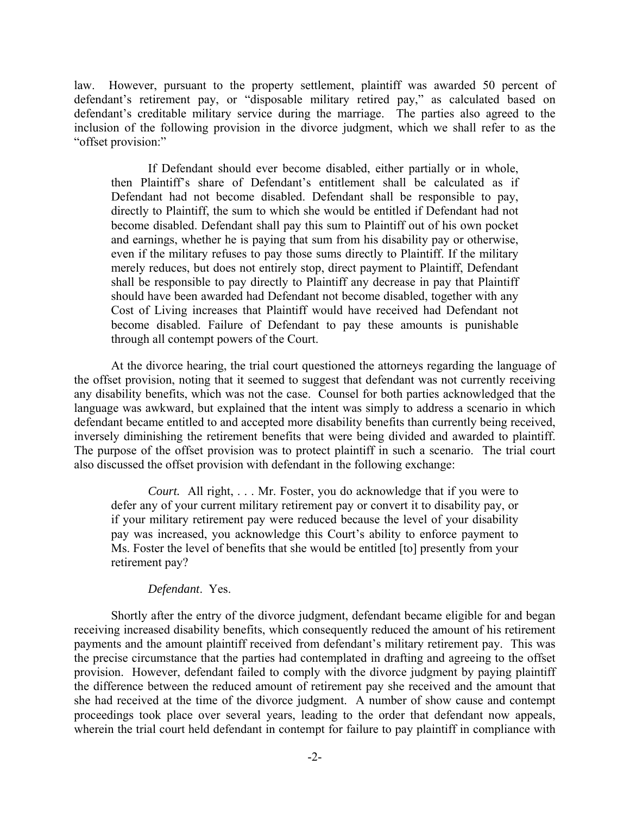law. However, pursuant to the property settlement, plaintiff was awarded 50 percent of defendant's retirement pay, or "disposable military retired pay," as calculated based on defendant's creditable military service during the marriage. The parties also agreed to the inclusion of the following provision in the divorce judgment, which we shall refer to as the "offset provision:"

 If Defendant should ever become disabled, either partially or in whole, then Plaintiff's share of Defendant's entitlement shall be calculated as if Defendant had not become disabled. Defendant shall be responsible to pay, directly to Plaintiff, the sum to which she would be entitled if Defendant had not become disabled. Defendant shall pay this sum to Plaintiff out of his own pocket and earnings, whether he is paying that sum from his disability pay or otherwise, even if the military refuses to pay those sums directly to Plaintiff. If the military merely reduces, but does not entirely stop, direct payment to Plaintiff, Defendant shall be responsible to pay directly to Plaintiff any decrease in pay that Plaintiff should have been awarded had Defendant not become disabled, together with any Cost of Living increases that Plaintiff would have received had Defendant not become disabled. Failure of Defendant to pay these amounts is punishable through all contempt powers of the Court.

At the divorce hearing, the trial court questioned the attorneys regarding the language of the offset provision, noting that it seemed to suggest that defendant was not currently receiving any disability benefits, which was not the case. Counsel for both parties acknowledged that the language was awkward, but explained that the intent was simply to address a scenario in which defendant became entitled to and accepted more disability benefits than currently being received, inversely diminishing the retirement benefits that were being divided and awarded to plaintiff. The purpose of the offset provision was to protect plaintiff in such a scenario. The trial court also discussed the offset provision with defendant in the following exchange:

*Court.* All right, . . . Mr. Foster, you do acknowledge that if you were to defer any of your current military retirement pay or convert it to disability pay, or if your military retirement pay were reduced because the level of your disability pay was increased, you acknowledge this Court's ability to enforce payment to Ms. Foster the level of benefits that she would be entitled [to] presently from your retirement pay?

## *Defendant*. Yes.

Shortly after the entry of the divorce judgment, defendant became eligible for and began receiving increased disability benefits, which consequently reduced the amount of his retirement payments and the amount plaintiff received from defendant's military retirement pay. This was the precise circumstance that the parties had contemplated in drafting and agreeing to the offset provision. However, defendant failed to comply with the divorce judgment by paying plaintiff the difference between the reduced amount of retirement pay she received and the amount that she had received at the time of the divorce judgment. A number of show cause and contempt proceedings took place over several years, leading to the order that defendant now appeals, wherein the trial court held defendant in contempt for failure to pay plaintiff in compliance with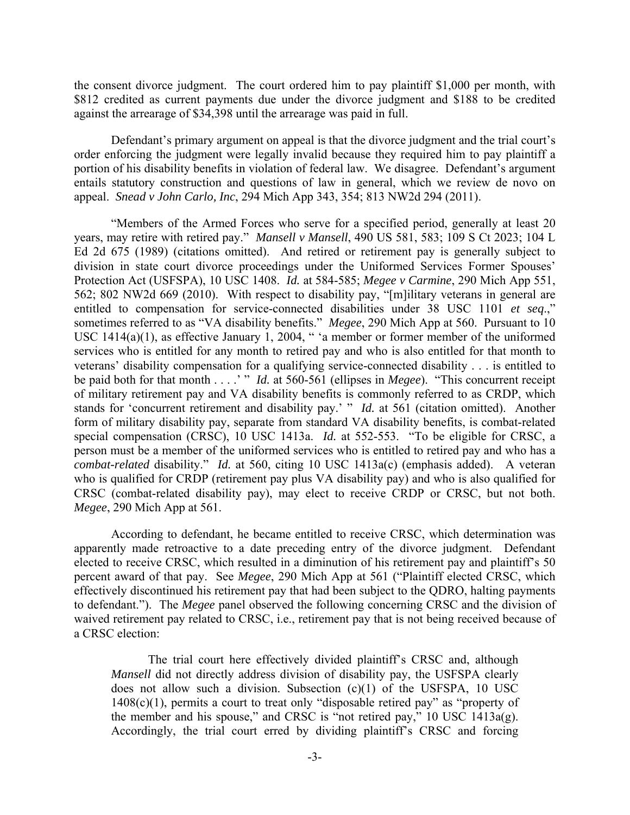the consent divorce judgment. The court ordered him to pay plaintiff \$1,000 per month, with \$812 credited as current payments due under the divorce judgment and \$188 to be credited against the arrearage of \$34,398 until the arrearage was paid in full.

Defendant's primary argument on appeal is that the divorce judgment and the trial court's order enforcing the judgment were legally invalid because they required him to pay plaintiff a portion of his disability benefits in violation of federal law. We disagree. Defendant's argument entails statutory construction and questions of law in general, which we review de novo on appeal. *Snead v John Carlo, Inc*, 294 Mich App 343, 354; 813 NW2d 294 (2011).

 "Members of the Armed Forces who serve for a specified period, generally at least 20 years, may retire with retired pay." *Mansell v Mansell*, 490 US 581, 583; 109 S Ct 2023; 104 L Ed 2d 675 (1989) (citations omitted). And retired or retirement pay is generally subject to division in state court divorce proceedings under the Uniformed Services Former Spouses' Protection Act (USFSPA), 10 USC 1408. *Id.* at 584-585; *Megee v Carmine*, 290 Mich App 551, 562; 802 NW2d 669 (2010). With respect to disability pay, "[m]ilitary veterans in general are entitled to compensation for service-connected disabilities under 38 USC 1101 *et seq*.," sometimes referred to as "VA disability benefits." *Megee*, 290 Mich App at 560. Pursuant to 10 USC 1414(a)(1), as effective January 1, 2004, " 'a member or former member of the uniformed services who is entitled for any month to retired pay and who is also entitled for that month to veterans' disability compensation for a qualifying service-connected disability . . . is entitled to be paid both for that month . . . .' " *Id.* at 560-561 (ellipses in *Megee*). "This concurrent receipt of military retirement pay and VA disability benefits is commonly referred to as CRDP, which stands for 'concurrent retirement and disability pay.' " *Id.* at 561 (citation omitted). Another form of military disability pay, separate from standard VA disability benefits, is combat-related special compensation (CRSC), 10 USC 1413a. *Id.* at 552-553. "To be eligible for CRSC, a person must be a member of the uniformed services who is entitled to retired pay and who has a *combat-related* disability." *Id.* at 560, citing 10 USC 1413a(c) (emphasis added). A veteran who is qualified for CRDP (retirement pay plus VA disability pay) and who is also qualified for CRSC (combat-related disability pay), may elect to receive CRDP or CRSC, but not both. *Megee*, 290 Mich App at 561.

 According to defendant, he became entitled to receive CRSC, which determination was apparently made retroactive to a date preceding entry of the divorce judgment. Defendant elected to receive CRSC, which resulted in a diminution of his retirement pay and plaintiff's 50 percent award of that pay. See *Megee*, 290 Mich App at 561 ("Plaintiff elected CRSC, which effectively discontinued his retirement pay that had been subject to the QDRO, halting payments to defendant."). The *Megee* panel observed the following concerning CRSC and the division of waived retirement pay related to CRSC, i.e., retirement pay that is not being received because of a CRSC election:

 The trial court here effectively divided plaintiff's CRSC and, although *Mansell* did not directly address division of disability pay, the USFSPA clearly does not allow such a division. Subsection (c)(1) of the USFSPA, 10 USC 1408(c)(1), permits a court to treat only "disposable retired pay" as "property of the member and his spouse," and CRSC is "not retired pay," 10 USC 1413a(g). Accordingly, the trial court erred by dividing plaintiff's CRSC and forcing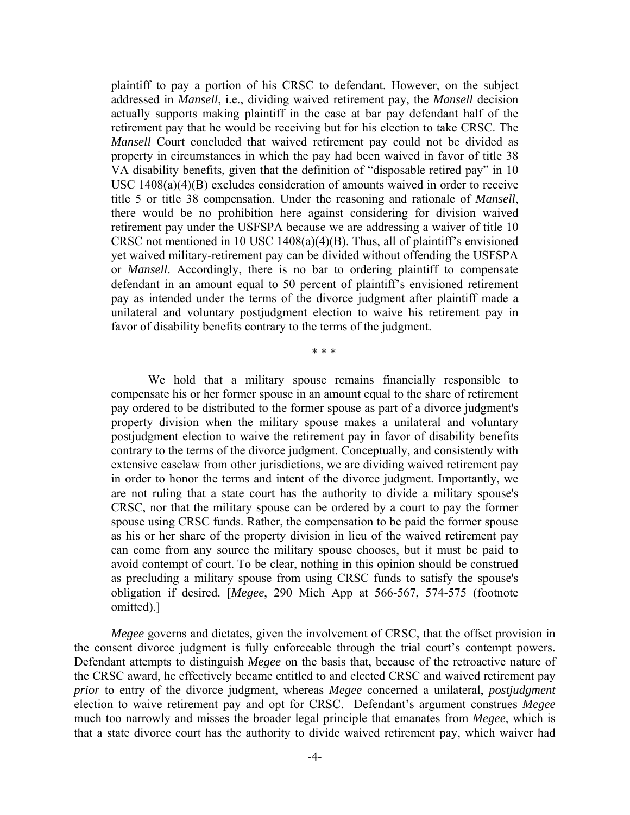plaintiff to pay a portion of his CRSC to defendant. However, on the subject addressed in *Mansell*, i.e., dividing waived retirement pay, the *Mansell* decision actually supports making plaintiff in the case at bar pay defendant half of the retirement pay that he would be receiving but for his election to take CRSC. The *Mansell* Court concluded that waived retirement pay could not be divided as property in circumstances in which the pay had been waived in favor of title 38 VA disability benefits, given that the definition of "disposable retired pay" in 10 USC 1408(a)(4)(B) excludes consideration of amounts waived in order to receive title 5 or title 38 compensation. Under the reasoning and rationale of *Mansell*, there would be no prohibition here against considering for division waived retirement pay under the USFSPA because we are addressing a waiver of title 10 CRSC not mentioned in 10 USC 1408(a)(4)(B). Thus, all of plaintiff's envisioned yet waived military-retirement pay can be divided without offending the USFSPA or *Mansell*. Accordingly, there is no bar to ordering plaintiff to compensate defendant in an amount equal to 50 percent of plaintiff's envisioned retirement pay as intended under the terms of the divorce judgment after plaintiff made a unilateral and voluntary postjudgment election to waive his retirement pay in favor of disability benefits contrary to the terms of the judgment.

\* \* \*

 We hold that a military spouse remains financially responsible to compensate his or her former spouse in an amount equal to the share of retirement pay ordered to be distributed to the former spouse as part of a divorce judgment's property division when the military spouse makes a unilateral and voluntary postjudgment election to waive the retirement pay in favor of disability benefits contrary to the terms of the divorce judgment. Conceptually, and consistently with extensive caselaw from other jurisdictions, we are dividing waived retirement pay in order to honor the terms and intent of the divorce judgment. Importantly, we are not ruling that a state court has the authority to divide a military spouse's CRSC, nor that the military spouse can be ordered by a court to pay the former spouse using CRSC funds. Rather, the compensation to be paid the former spouse as his or her share of the property division in lieu of the waived retirement pay can come from any source the military spouse chooses, but it must be paid to avoid contempt of court. To be clear, nothing in this opinion should be construed as precluding a military spouse from using CRSC funds to satisfy the spouse's obligation if desired. [*Megee*, 290 Mich App at 566-567, 574-575 (footnote omitted).]

*Megee* governs and dictates, given the involvement of CRSC, that the offset provision in the consent divorce judgment is fully enforceable through the trial court's contempt powers. Defendant attempts to distinguish *Megee* on the basis that, because of the retroactive nature of the CRSC award, he effectively became entitled to and elected CRSC and waived retirement pay *prior* to entry of the divorce judgment, whereas *Megee* concerned a unilateral, *postjudgment*  election to waive retirement pay and opt for CRSC. Defendant's argument construes *Megee*  much too narrowly and misses the broader legal principle that emanates from *Megee*, which is that a state divorce court has the authority to divide waived retirement pay, which waiver had